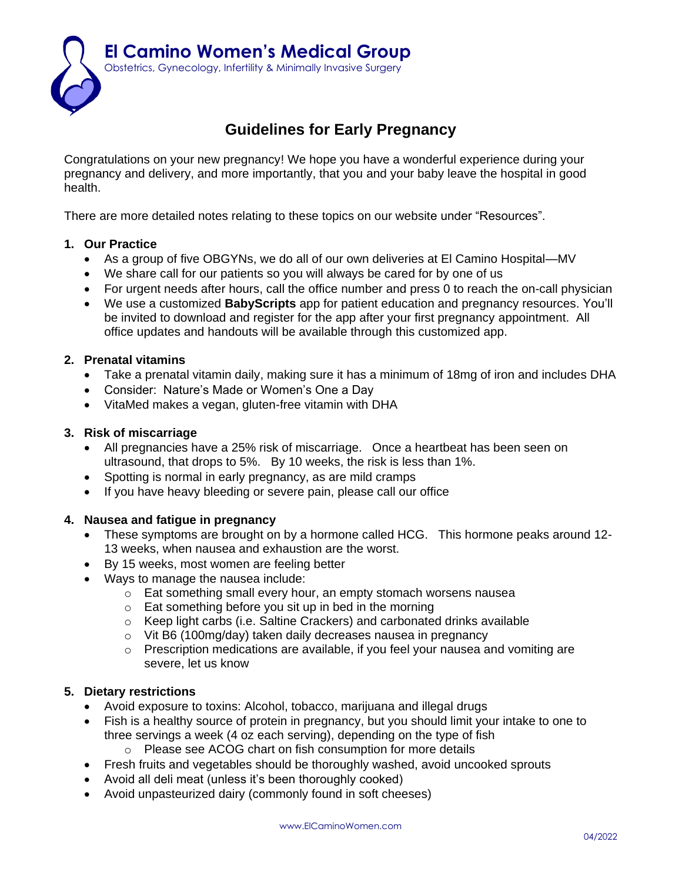

# **Guidelines for Early Pregnancy**

Congratulations on your new pregnancy! We hope you have a wonderful experience during your pregnancy and delivery, and more importantly, that you and your baby leave the hospital in good health.

There are more detailed notes relating to these topics on our website under "Resources".

# **1. Our Practice**

- As a group of five OBGYNs, we do all of our own deliveries at El Camino Hospital—MV
- We share call for our patients so you will always be cared for by one of us
- For urgent needs after hours, call the office number and press 0 to reach the on-call physician
- We use a customized **BabyScripts** app for patient education and pregnancy resources. You'll be invited to download and register for the app after your first pregnancy appointment. All office updates and handouts will be available through this customized app.

## **2. Prenatal vitamins**

- Take a prenatal vitamin daily, making sure it has a minimum of 18mg of iron and includes DHA
- Consider: Nature's Made or Women's One a Day
- VitaMed makes a vegan, gluten-free vitamin with DHA

#### **3. Risk of miscarriage**

- All pregnancies have a 25% risk of miscarriage. Once a heartbeat has been seen on ultrasound, that drops to 5%. By 10 weeks, the risk is less than 1%.
- Spotting is normal in early pregnancy, as are mild cramps
- If you have heavy bleeding or severe pain, please call our office

#### **4. Nausea and fatigue in pregnancy**

- These symptoms are brought on by a hormone called HCG. This hormone peaks around 12- 13 weeks, when nausea and exhaustion are the worst.
- By 15 weeks, most women are feeling better
- Ways to manage the nausea include:
	- o Eat something small every hour, an empty stomach worsens nausea
	- o Eat something before you sit up in bed in the morning
	- $\circ$  Keep light carbs (i.e. Saltine Crackers) and carbonated drinks available
	- o Vit B6 (100mg/day) taken daily decreases nausea in pregnancy
	- o Prescription medications are available, if you feel your nausea and vomiting are severe, let us know

## **5. Dietary restrictions**

- Avoid exposure to toxins: Alcohol, tobacco, marijuana and illegal drugs
- Fish is a healthy source of protein in pregnancy, but you should limit your intake to one to three servings a week (4 oz each serving), depending on the type of fish
	- o Please see ACOG chart on fish consumption for more details
- Fresh fruits and vegetables should be thoroughly washed, avoid uncooked sprouts
- Avoid all deli meat (unless it's been thoroughly cooked)
- Avoid unpasteurized dairy (commonly found in soft cheeses)